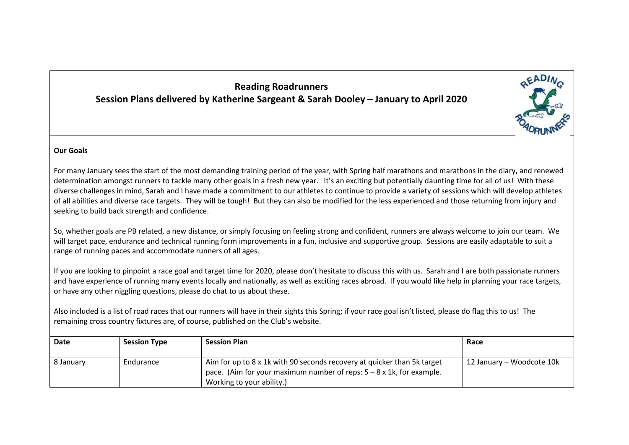## **Reading Roadrunners Session Plans delivered by Katherine Sargeant & Sarah Dooley – January to April 2020**



## **Our Goals**

For many January sees the start of the most demanding training period of the year, with Spring half marathons and marathons in the diary, and renewed determination amongst runners to tackle many other goals in a fresh new year. It's an exciting but potentially daunting time for all of us! With these diverse challenges in mind, Sarah and I have made a commitment to our athletes to continue to provide a variety of sessions which will develop athletes of all abilities and diverse race targets. They will be tough! But they can also be modified for the less experienced and those returning from injury and seeking to build back strength and confidence.

So, whether goals are PB related, a new distance, or simply focusing on feeling strong and confident, runners are always welcome to join our team. We will target pace, endurance and technical running form improvements in a fun, inclusive and supportive group. Sessions are easily adaptable to suit a range of running paces and accommodate runners of all ages.

If you are looking to pinpoint a race goal and target time for 2020, please don't hesitate to discuss this with us. Sarah and I are both passionate runners and have experience of running many events locally and nationally, as well as exciting races abroad. If you would like help in planning your race targets, or have any other niggling questions, please do chat to us about these.

Also included is a list of road races that our runners will have in their sights this Spring; if your race goal isn't listed, please do flag this to us! The remaining cross country fixtures are, of course, published on the Club's website.

| Date      | <b>Session Type</b> | <b>Session Plan</b>                                                                                                                                                                  | Race                      |
|-----------|---------------------|--------------------------------------------------------------------------------------------------------------------------------------------------------------------------------------|---------------------------|
| 8 January | Endurance           | Aim for up to 8 x 1k with 90 seconds recovery at quicker than 5k target<br>pace. (Aim for your maximum number of reps: $5 - 8 \times 1$ k, for example.<br>Working to your ability.) | 12 January – Woodcote 10k |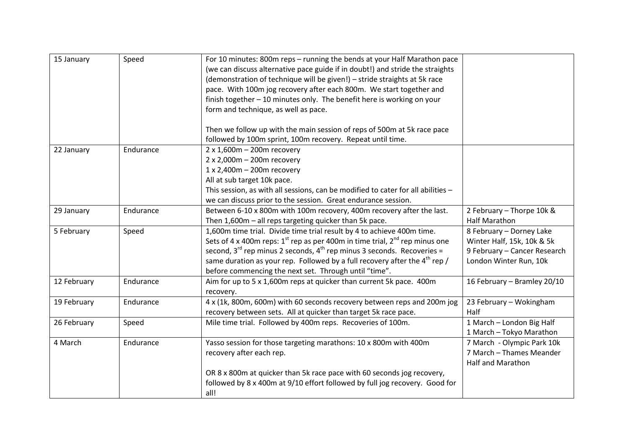| 15 January  | Speed     | For 10 minutes: 800m reps - running the bends at your Half Marathon pace              |                              |
|-------------|-----------|---------------------------------------------------------------------------------------|------------------------------|
|             |           | (we can discuss alternative pace guide if in doubt!) and stride the straights         |                              |
|             |           | (demonstration of technique will be given!) - stride straights at 5k race             |                              |
|             |           | pace. With 100m jog recovery after each 800m. We start together and                   |                              |
|             |           | finish together - 10 minutes only. The benefit here is working on your                |                              |
|             |           | form and technique, as well as pace.                                                  |                              |
|             |           |                                                                                       |                              |
|             |           | Then we follow up with the main session of reps of 500m at 5k race pace               |                              |
|             |           | followed by 100m sprint, 100m recovery. Repeat until time.                            |                              |
| 22 January  | Endurance | $2 \times 1,600$ m – 200m recovery                                                    |                              |
|             |           | $2 \times 2,000$ m - 200m recovery                                                    |                              |
|             |           | 1 x 2,400m - 200m recovery                                                            |                              |
|             |           | All at sub target 10k pace.                                                           |                              |
|             |           | This session, as with all sessions, can be modified to cater for all abilities -      |                              |
|             |           | we can discuss prior to the session. Great endurance session.                         |                              |
| 29 January  | Endurance | Between 6-10 x 800m with 100m recovery, 400m recovery after the last.                 | 2 February - Thorpe 10k &    |
|             |           | Then 1,600m - all reps targeting quicker than 5k pace.                                | <b>Half Marathon</b>         |
| 5 February  | Speed     | 1,600m time trial. Divide time trial result by 4 to achieve 400m time.                | 8 February - Dorney Lake     |
|             |           | Sets of 4 x 400m reps: $1^{st}$ rep as per 400m in time trial, $2^{nd}$ rep minus one | Winter Half, 15k, 10k & 5k   |
|             |           | second, $3^{rd}$ rep minus 2 seconds, $4^{th}$ rep minus 3 seconds. Recoveries =      | 9 February - Cancer Research |
|             |           | same duration as your rep. Followed by a full recovery after the $4th$ rep /          | London Winter Run, 10k       |
|             |           | before commencing the next set. Through until "time".                                 |                              |
| 12 February | Endurance | Aim for up to 5 x 1,600m reps at quicker than current 5k pace. 400m                   | 16 February - Bramley 20/10  |
|             |           | recovery.                                                                             |                              |
| 19 February | Endurance | 4 x (1k, 800m, 600m) with 60 seconds recovery between reps and 200m jog               | 23 February - Wokingham      |
|             |           | recovery between sets. All at quicker than target 5k race pace.                       | Half                         |
| 26 February | Speed     | Mile time trial. Followed by 400m reps. Recoveries of 100m.                           | 1 March - London Big Half    |
|             |           |                                                                                       | 1 March - Tokyo Marathon     |
| 4 March     | Endurance | Yasso session for those targeting marathons: 10 x 800m with 400m                      | 7 March - Olympic Park 10k   |
|             |           | recovery after each rep.                                                              | 7 March - Thames Meander     |
|             |           |                                                                                       | <b>Half and Marathon</b>     |
|             |           | OR 8 x 800m at quicker than 5k race pace with 60 seconds jog recovery,                |                              |
|             |           | followed by 8 x 400m at 9/10 effort followed by full jog recovery. Good for           |                              |
|             |           | all!                                                                                  |                              |